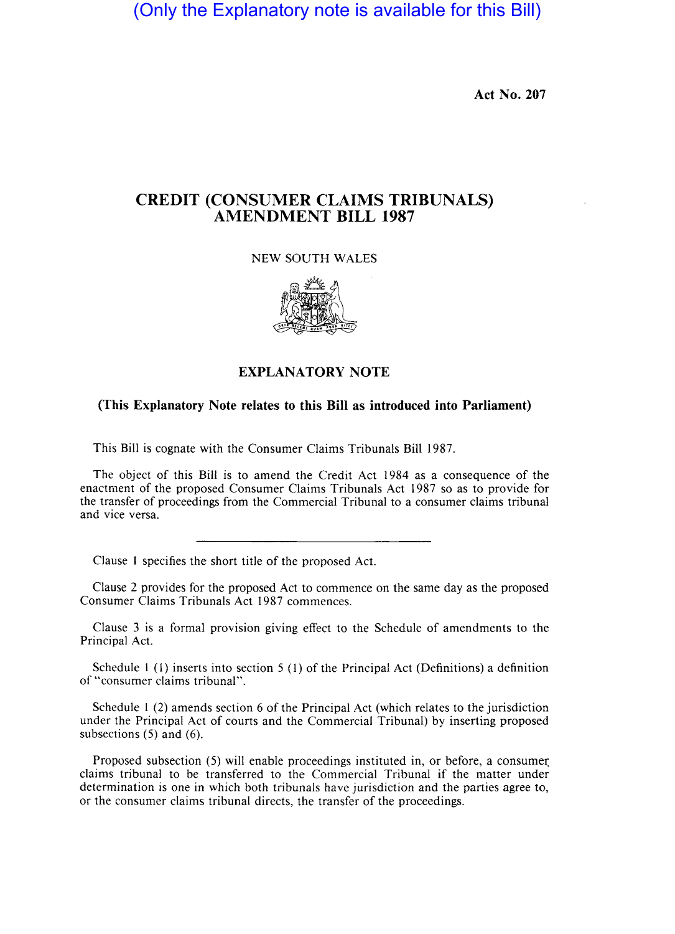(Only the Explanatory note is available for this Bill)

**Act No. 207** 

## **CREDIT (CONSUMER CLAIMS TRIBUNALS) AMENDMENT BILL 1987**

## NEW SOUTH WALES



## **EXPLANATORY NOTE**

## **(This Explanatory Note relates to this Bill as introduced into Parliament)**

This Bill is cognate with the Consumer Claims Tribunals Bill 1987.

The object of this Bill is to amend the Credit Act 1984 as a consequence of the enactment of the proposed Consumer Claims Tribunals Act 1987 so as to provide for the transfer of proceedings from the Commercial Tribunal to a consumer claims tribunal and vice versa.

Clause I specifies the short title of the proposed Act.

Clause 2 provides for the proposed Act to commence on the same day as the proposed Consumer Claims Tribunals Act 1987 commences.

Clause 3 is a formal provision giving effect to the Schedule of amendments to the Principal Act.

Schedule 1 (1) inserts into section 5 (1) of the Principal Act (Definitions) a definition of "consumer claims tribunal".

Schedule 1 (2) amends section 6 of the Principal Act (which relates to the jurisdiction under the Principal Act of courts and the Commercial Tribunal) by inserting proposed subsections (5) and (6).

Proposed subsection (5) will enable proceedings instituted in, or before, a consumer claims tribunal to be transferred to the Commercial Tribunal if the matter under determination is one in which both tribunals have jurisdiction and the parties agree to, or the consumer claims tribunal directs, the transfer of the proceedings.